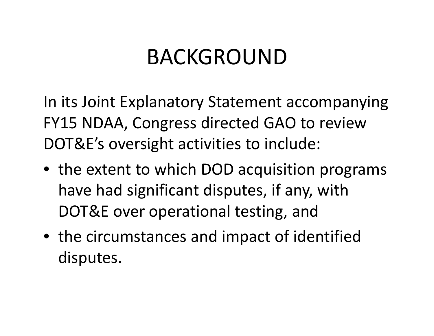## BACKGROUND

In its Joint Explanatory Statement accompanying FY15 NDAA, Congress directed GAO to review DOT&E's oversight activities to include:

- the extent to which DOD acquisition programs have had significant disputes, if any, with DOT&E over operational testing, and
- $\bullet\,$  the circumstances and impact of identified disputes.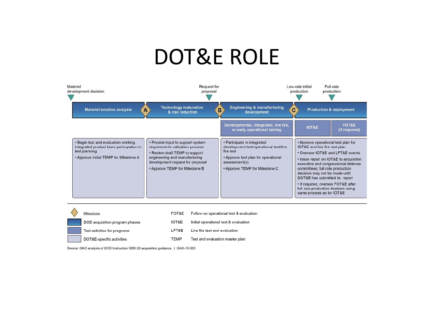### DOT&E ROLE



| Milestone                      | FOT&E       | Follow-on operational test & evaluation |
|--------------------------------|-------------|-----------------------------------------|
| DOD acquisition program phases | IOT&E       | Initial operational test & evaluation   |
| Test activities for programs   | LFT&E       | Live fire test and evaluation           |
| DOT&E-specific activities      | <b>TEMP</b> | Test and evaluation master plan         |

Source: GAO analysis of DOD Instruction 5000.02 acquisition guidance. | GAO-15-503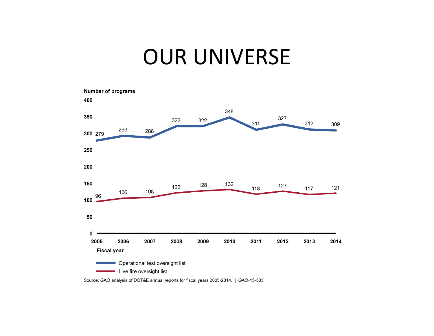#### OUR UNIVERSE



Source: GAO analysis of DOT&E annual reports for fiscal years 2005-2014. | GAO-15-503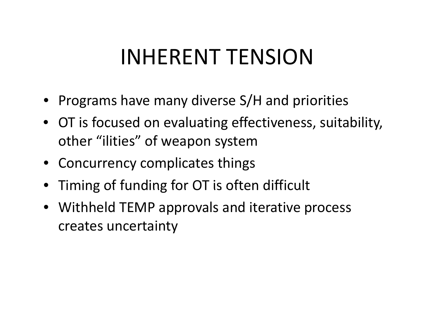## INHERENT TENSION

- Programs have many diverse  $S/H$  and priorities
- OT is focused on evaluating effectiveness, suitability, other "ilities" of weapon system
- Concurrency complicates things
- $\bullet~$  Timing of funding for OT is often difficult
- Withheld TEMP approvals and iterative process creates uncertaint y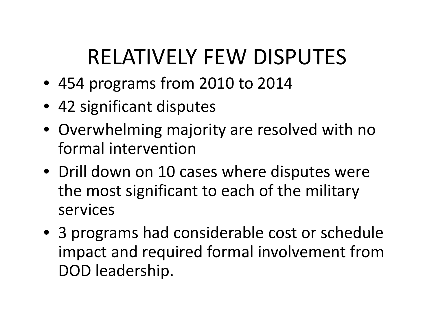# RELATIVELY FEW DISPUTES

- 454 programs from 2010 to 2014
- 42 significant disputes
- Overwhelming majority are resolved with no formal intervention
- Drill down on 10 cases where disputes were the most significant to each of the military services
- 3 programs had considerable cost or schedule impact and required formal involvement from DOD leadership.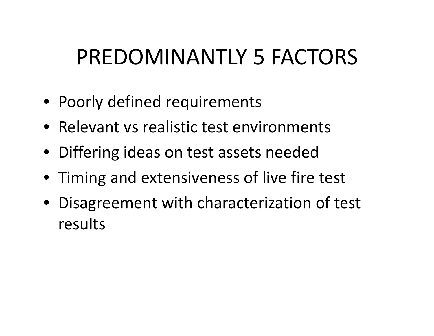## PREDOMINANTLY 5 FACTORS

- Poorly defined requirements
- Relevant vs realistic test environments
- Differing ideas on test assets needed
- Timing and extensiveness of live fire test
- Disagreement with characterization of test results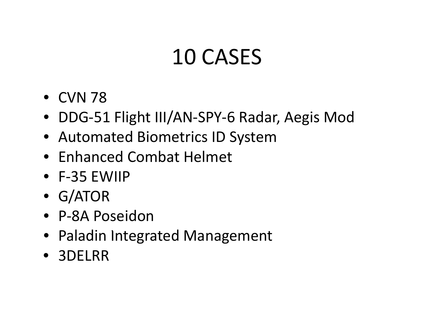## 10 CASES

- CVN 78
- DDG-51 Flight III/AN-SPY-6 Radar, Aegis Mod
- Automated Biometrics ID System
- Enhanced Combat Helmet
- F-35 EWIIP
- G/ATOR
- P-8A Poseidon
- Paladin Integrated Management
- 3DELRR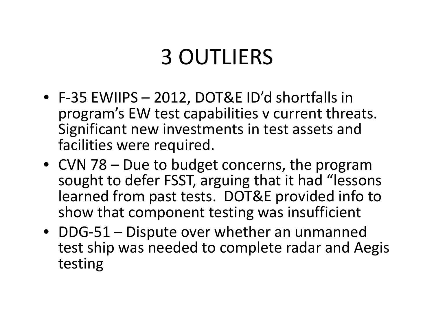## 3 OUTLIERS

- F-35 EWIIPS 2012, DOT&E ID'd shortfalls in program's EW test capabilities v current threats. Significant new investments in test assets and facilities were required.
- CVN 78 Due to budget concerns, the program sought to defer FSST, arguing that it had "lessons learned from past tests. DOT&E provided info to show that component testing was insufficient
- DDG-51 Dispute over whether an unmanned test ship was needed to complete radar and Aegis testing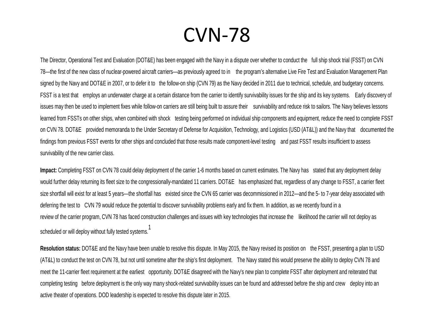#### CVN-78

The Director, Operational Test and Evaluation (DOT&E) has been engaged with the Navy in <sup>a</sup> dispute over whether to conduct the full ship shock trial (FSST) on CVN 78—the first of the new class of nuclear-powered aircraft carriers—as previously agreed to in the program's alternative Live Fire Test and Evaluation Management Plan signed by the Navy and DOT&E in 2007, or to defer it to the follow-on ship (CVN 79) as the Navy decided in 2011 due to technical, schedule, and budgetary concerns. FSST is a test that employs an underwater charge at a certain distance from the carrier to identify survivability issues for the ship and its key systems. Early discovery of issues may then be used to implement fixes while follow-on carriers are still being built to assure their survivability and reduce risk to sailors. The Navy believes lessons learned from FSSTs on other ships, when combined with shock testing being performed on individual ship components and equipment, reduce the need to complete FSST on CVN 78. DOT&E provided memoranda to the Under Secretary of Defense for Acquisition, Technology, and Logistics (USD (AT&L)) and the Navy that documented the findings from previous FSST events for other ships and concluded that those results made component-level testing and past FSST results insufficient to assess survivability of the new carrier class.

**Impact:** Completing FSST on CVN 78 could delay deployment of the carrier 1-6 months based on current estimates. The Navy has stated that any deployment delay would further delay returning its fleet size to the congressionally-mandated 11 carriers. DOT&E has emphasized that, regardless of any change to FSST, a carrier fleet size shortfall will exist for at least 5 years—the shortfall has existed since the CVN 65 carrier was decommissioned in 2012—and the 5- to 7-year delay associated with deferring the test to CVN 79 would reduce the potential to discover survivability problems early and fix them. In addition, as we recently found in a review of the carrier program, CVN 78 has faced construction challenges and issues with key technologies that increase the likelihood the carrier will not deploy as .<br>Scheduled or will deploy without fully tested systems.<sup>1</sup>

**Resolution status:** DOT&E and the Navy have been unable to resolve this dispute. In May 2015, the Navy revised its position on the FSST, presenting a plan to USD (AT&L) to conduct the test on CVN 78, but not until sometime after the ship's first deployment. The Navy stated this would preserve the ability to deploy CVN 78 and meet the 11-carrier fleet requirement at the earliest opportunity. DOT&E disagreed with the Navy's new plan to complete FSST after deployment and reiterated that completing testing before deployment is the only way many shock-related survivability issues can be found and addressed before the ship and crew deploy into an active theater of operations. DOD leadership is expected to resolve this dispute later in 2015.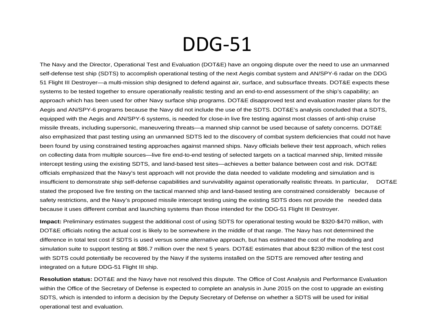#### DDG-51

The Navy and the Director, Operational Test and Evaluation (DOT&E) have an ongoing dispute over the need to use an unmanned self-defense test ship (SDTS) to accomplish operational testing of the next Aegis combat system and AN/SPY-6 radar on the DDG 51 Flight III Destroyer—a multi-mission ship designed to defend against air, surface, and subsurface threats. DOT&E expects these systems to be tested together to ensure operationally realistic testing and an end-to-end assessment of the ship's capability; an approach which has been used for other Navy surface ship programs. DOT&E disapproved test and evaluation master plans for the Aegis and AN/SPY-6 programs because the Navy did not include the use of the SDTS. DOT&E's analysis concluded that a SDTS, equipped with the Aegis and AN/SPY-6 systems, is needed for close-in live fire testing against most classes of anti-ship cruise missile threats, including supersonic, maneuvering threats—a manned ship cannot be used because of safety concerns. DOT&E also emphasized that past testing using an unmanned SDTS led to the discovery of combat system deficiencies that could not have been found by using constrained testing approaches against manned ships. Navy officials believe their test approach, which relies on collecting data from multiple sources—live fire end-to-end testing of selected targets on a tactical manned ship, limited missile intercept testing using the existing SDTS, and land-based test sites—achieves a better balance between cost and risk. DOT&E officials emphasized that the Navy's test approach will not provide the data needed to validate modeling and simulation and is insufficient to demonstrate ship self-defense capabilities and survivability against operationally realistic threats. In particular, DOT&E stated the proposed live fire testing on the tactical manned ship and land-based testing are constrained considerably because of safety restrictions, and the Navy's proposed missile intercept testing using the existing SDTS does not provide the needed data because it uses different combat and launching systems than those intended for the DDG-51 Flight III Destroyer.

**Impact:** Preliminary estimates suggest the additional cost of using SDTS for operational testing would be \$320-\$470 million, with DOT&E officials noting the actual cost is likely to be somewhere in the middle of that range. The Navy has not determined the difference in total test cost if SDTS is used versus some alternative approach, but has estimated the cost of the modeling and simulation suite to support testing at \$86.7 million over the next 5 years. DOT&E estimates that about \$230 million of the test cost with SDTS could potentially be recovered by the Navy if the systems installed on the SDTS are removed after testing and integrated on a future DDG-51 Flight III ship.

**Resolution status:** DOT&E and the Navy have not resolved this dispute. The Office of Cost Analysis and Performance Evaluation within the Office of the Secretary of Defense is expected to complete an analysis in June 2015 on the cost to upgrade an existing SDTS, which is intended to inform a decision by the Deputy Secretary of Defense on whether a SDTS will be used for initial operational test and evaluation.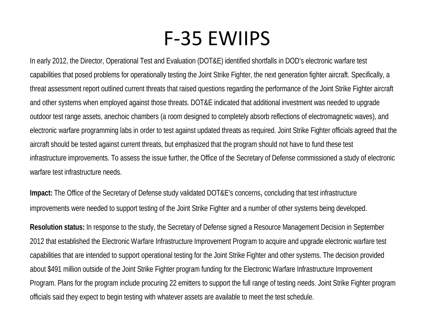#### F-35 EWIIPS

In early 2012, the Director, Operational Test and Evaluation (DOT&E) identified shortfalls in DOD's electronic warfare test capabilities that posed problems for operationally testing the Joint Strike Fighter, the next generation fighter aircraft. Specifically, a threat assessment report outlined current threats that raised questions regarding the performance of the Joint Strike Fighter aircraft and other systems when employed against those threats. DOT&E indicated that additional investment was needed to upgrade outdoor test range assets, anechoic chambers (a room designed to completely absorb reflections of electromagnetic waves), and electronic warfare programming labs in order to test against updated threats as required. Joint Strike Fighter officials agreed that the aircraft should be tested against current threats, but emphasized that the program should not have to fund these test infrastructure improvements. To assess the issue further, the Office of the Secretary of Defense commissioned a study of electronic warfare test infrastructure needs.

**Impact:** The Office of the Secretary of Defense study validated DOT&E's concerns, concluding that test infrastructure improvements were needed to support testing of the Joint Strike Fighter and a number of other systems being developed.

**Resolution status:** In response to the study, the Secretary of Defense signed a Resource Management Decision in September 2012 that established the Electronic Warfare Infrastructure Improvement Program to acquire and upgrade electronic warfare test capabilities that are intended to support operational testing for the Joint Strike Fighter and other systems. The decision provided about \$491 million outside of the Joint Strike Fighter program funding for the Electronic Warfare Infrastructure Improvement Program. Plans for the program include procuring 22 emitters to support the full range of testing needs. Joint Strike Fighter program officials said they expect to begin testing with whatever assets are available to meet the test schedule.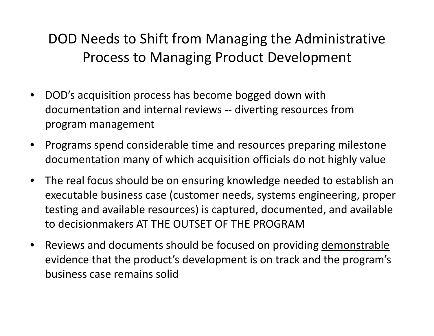DOD Needs to Shift from Managing the Administrative Process to Managing Product Development

- $\bullet$  DOD's acquisition process has become bogged down with documentation and internal reviews -- diverting resources from program management
- $\bullet$ Programs spend considerable time and resources preparing milestone documentation many of which acquisition officials do not highly value
- $\bullet$  The real focus should be on ensuring knowledge needed to establish an executable business case (customer needs, systems engineering, proper testing and available resources) is captured, documented, and available to decisionmakers AT THE OUTSET OF THE PROGRAM
- $\bullet$  Reviews and documents should be focused on providing demonstrable evidence that the product's development is on track and the program's business case remains solid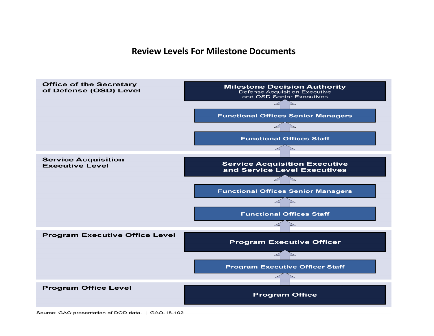#### **Review Levels For Milestone Documents**

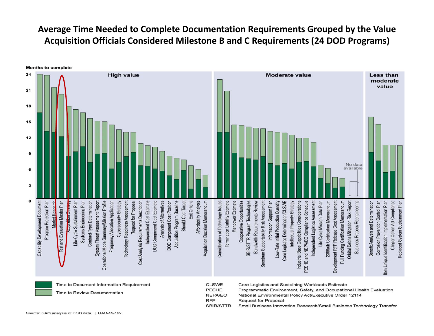#### **Average Time Needed to Complete Documentation Requirements Grouped by the Value Acquisition Officials Considered Milestone B and C Requirements (24 DOD Programs)**